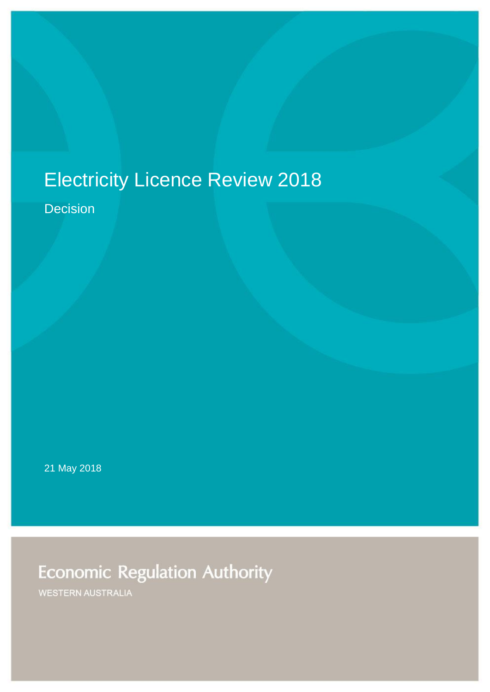# Electricity Licence Review 2018

Decision

21 May 2018

**Economic Regulation Authority** 

WESTERN AUSTRALIA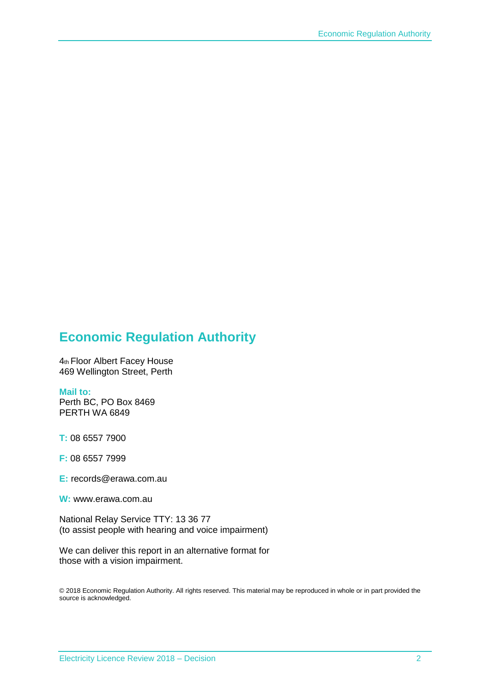#### **Economic Regulation Authority**

4th Floor Albert Facey House 469 Wellington Street, Perth

#### **Mail to:**

Perth BC, PO Box 8469 PERTH WA 6849

**T:** 08 6557 7900

**F:** 08 6557 7999

**E:** records@erawa.com.au

**W:** www.erawa.com.au

National Relay Service TTY: 13 36 77 (to assist people with hearing and voice impairment)

We can deliver this report in an alternative format for those with a vision impairment.

© 2018 Economic Regulation Authority. All rights reserved. This material may be reproduced in whole or in part provided the source is acknowledged.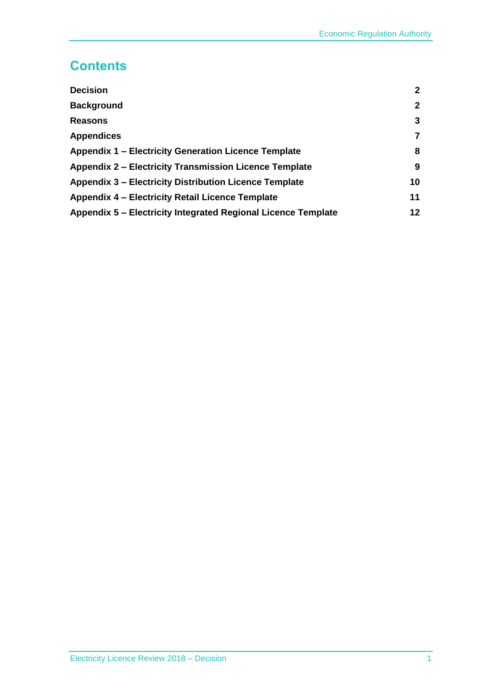### **Contents**

| <b>Decision</b>                                               | $\mathbf{2}$ |
|---------------------------------------------------------------|--------------|
| <b>Background</b>                                             | $\mathbf{2}$ |
| <b>Reasons</b>                                                | 3            |
| <b>Appendices</b>                                             | 7            |
| <b>Appendix 1 – Electricity Generation Licence Template</b>   | 8            |
| <b>Appendix 2 – Electricity Transmission Licence Template</b> | 9            |
| <b>Appendix 3 – Electricity Distribution Licence Template</b> | 10           |
| Appendix 4 – Electricity Retail Licence Template              | 11           |
| Appendix 5 – Electricity Integrated Regional Licence Template | 12           |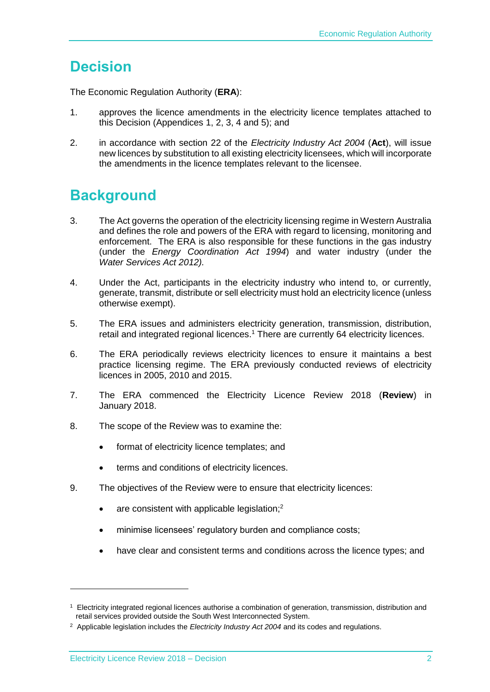### <span id="page-3-0"></span>**Decision**

The Economic Regulation Authority (**ERA**):

- 1. approves the licence amendments in the electricity licence templates attached to this Decision (Appendices 1, 2, 3, 4 and 5); and
- 2. in accordance with section 22 of the *Electricity Industry Act 2004* (**Act**), will issue new licences by substitution to all existing electricity licensees, which will incorporate the amendments in the licence templates relevant to the licensee.

### <span id="page-3-1"></span>**Background**

- 3. The Act governs the operation of the electricity licensing regime in Western Australia and defines the role and powers of the ERA with regard to licensing, monitoring and enforcement. The ERA is also responsible for these functions in the gas industry (under the *Energy Coordination Act 1994*) and water industry (under the *Water Services Act 2012).*
- 4. Under the Act, participants in the electricity industry who intend to, or currently, generate, transmit, distribute or sell electricity must hold an electricity licence (unless otherwise exempt).
- 5. The ERA issues and administers electricity generation, transmission, distribution, retail and integrated regional licences. <sup>1</sup> There are currently 64 electricity licences.
- 6. The ERA periodically reviews electricity licences to ensure it maintains a best practice licensing regime. The ERA previously conducted reviews of electricity licences in 2005, 2010 and 2015.
- 7. The ERA commenced the Electricity Licence Review 2018 (**Review**) in January 2018.
- 8. The scope of the Review was to examine the:
	- format of electricity licence templates: and
	- terms and conditions of electricity licences.
- 9. The objectives of the Review were to ensure that electricity licences:
	- $\bullet$  are consistent with applicable legislation;<sup>2</sup>
	- minimise licensees' regulatory burden and compliance costs;
	- have clear and consistent terms and conditions across the licence types; and

-

<sup>&</sup>lt;sup>1</sup> Electricity integrated regional licences authorise a combination of generation, transmission, distribution and retail services provided outside the South West Interconnected System.

<sup>2</sup> Applicable legislation includes the *Electricity Industry Act 2004* and its codes and regulations.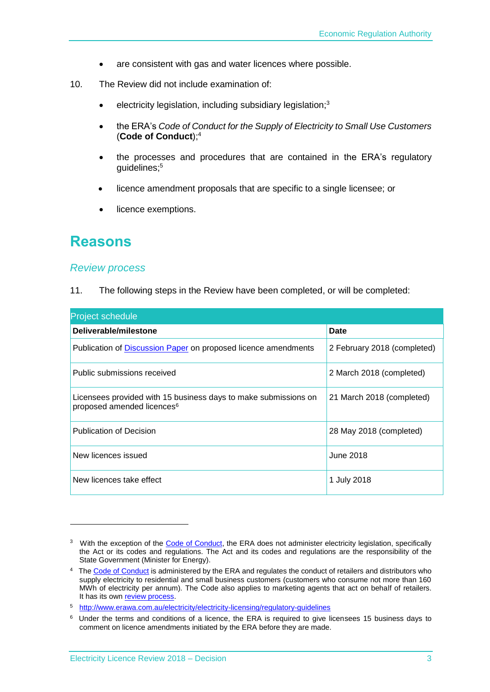- are consistent with gas and water licences where possible.
- 10. The Review did not include examination of:
	- electricity legislation, including subsidiary legislation;<sup>3</sup>
	- the ERA's *Code of Conduct for the Supply of Electricity to Small Use Customers*  (**Code of Conduct**); 4
	- the processes and procedures that are contained in the ERA's regulatory guidelines; 5
	- licence amendment proposals that are specific to a single licensee; or
	- licence exemptions.

### <span id="page-4-0"></span>**Reasons**

-

#### *Review process*

11. The following steps in the Review have been completed, or will be completed:

| <b>Project schedule</b>                                                                                   |                             |  |
|-----------------------------------------------------------------------------------------------------------|-----------------------------|--|
| Deliverable/milestone                                                                                     | Date                        |  |
| Publication of <b>Discussion Paper</b> on proposed licence amendments                                     | 2 February 2018 (completed) |  |
| Public submissions received                                                                               | 2 March 2018 (completed)    |  |
| Licensees provided with 15 business days to make submissions on<br>proposed amended licences <sup>6</sup> | 21 March 2018 (completed)   |  |
| <b>Publication of Decision</b>                                                                            | 28 May 2018 (completed)     |  |
| New licences issued                                                                                       | June 2018                   |  |
| New licences take effect                                                                                  | 1 July 2018                 |  |

<sup>&</sup>lt;sup>3</sup> With the exception of the [Code of Conduct,](https://www.erawa.com.au/electricity/electricity-licensing/code-of-conduct-for-the-supply-of-electricity-to-small-use-customers) the ERA does not administer electricity legislation, specifically the Act or its codes and regulations. The Act and its codes and regulations are the responsibility of the State Government (Minister for Energy).

<sup>&</sup>lt;sup>4</sup> Th[e Code of](https://www.erawa.com.au/electricity/electricity-licensing/code-of-conduct-for-the-supply-of-electricity-to-small-use-customers) Conduct is administered by the ERA and regulates the conduct of retailers and distributors who supply electricity to residential and small business customers (customers who consume not more than 160 MWh of electricity per annum). The Code also applies to marketing agents that act on behalf of retailers. It has its own [review process.](https://www.erawa.com.au/electricity/electricity-licensing/code-of-conduct-for-the-supply-of-electricity-to-small-use-customers)

<sup>5</sup> <http://www.erawa.com.au/electricity/electricity-licensing/regulatory-guidelines>

<sup>6</sup> Under the terms and conditions of a licence, the ERA is required to give licensees 15 business days to comment on licence amendments initiated by the ERA before they are made.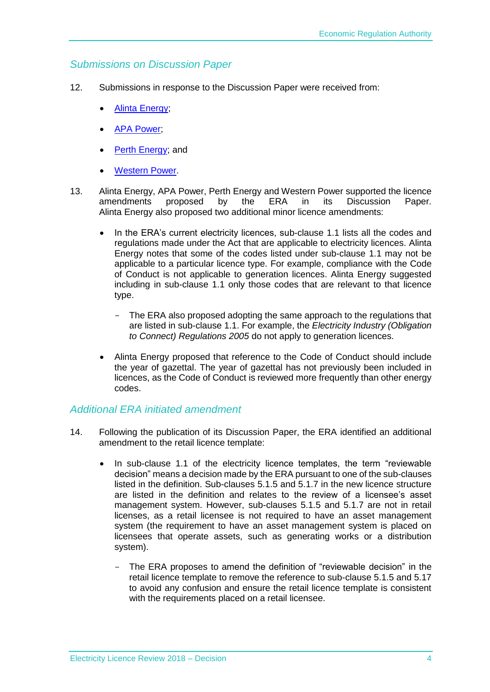#### *Submissions on Discussion Paper*

- 12. Submissions in response to the Discussion Paper were received from:
	- [Alinta Energy;](https://www.erawa.com.au/cproot/18782/2/PubSub%20-%20Alinta%20Energy%20-%20Electricity%20Licence%20Review%202018%20discussion%20paper.PDF)
	- [APA Power;](https://www.erawa.com.au/cproot/18783/2/PubSub%20-%20APA%20Group%20-%20Electricity%20Licence%20Review%202018%20discussion%20paper.PDF)
	- [Perth Energy;](https://www.erawa.com.au/cproot/18784/2/PubSub%20-%20Perth%20Energy%20-%20Electricity%20Licence%20Review%202018%20discussion%20paper.PDF) and
	- [Western Power.](https://www.erawa.com.au/cproot/18785/2/PubSub%20-%20Western%20Power%20-%20Electricity%20Licence%20Review%202018%20discussion%20paper.PDF)
- 13. Alinta Energy, APA Power, Perth Energy and Western Power supported the licence<br>amendments proposed by the ERA in its Discussion Paper. amendments proposed by the ERA in its Discussion Paper. Alinta Energy also proposed two additional minor licence amendments:
	- In the ERA's current electricity licences, sub-clause 1.1 lists all the codes and regulations made under the Act that are applicable to electricity licences. Alinta Energy notes that some of the codes listed under sub-clause 1.1 may not be applicable to a particular licence type. For example, compliance with the Code of Conduct is not applicable to generation licences. Alinta Energy suggested including in sub-clause 1.1 only those codes that are relevant to that licence type.
		- The ERA also proposed adopting the same approach to the regulations that are listed in sub-clause 1.1. For example, the *Electricity Industry (Obligation to Connect) Regulations 2005* do not apply to generation licences.
	- Alinta Energy proposed that reference to the Code of Conduct should include the year of gazettal. The year of gazettal has not previously been included in licences, as the Code of Conduct is reviewed more frequently than other energy codes.

#### *Additional ERA initiated amendment*

- 14. Following the publication of its Discussion Paper, the ERA identified an additional amendment to the retail licence template:
	- In sub-clause 1.1 of the electricity licence templates, the term "reviewable" decision" means a decision made by the ERA pursuant to one of the sub-clauses listed in the definition. Sub-clauses 5.1.5 and 5.1.7 in the new licence structure are listed in the definition and relates to the review of a licensee's asset management system. However, sub-clauses 5.1.5 and 5.1.7 are not in retail licenses, as a retail licensee is not required to have an asset management system (the requirement to have an asset management system is placed on licensees that operate assets, such as generating works or a distribution system).
		- The ERA proposes to amend the definition of "reviewable decision" in the retail licence template to remove the reference to sub-clause 5.1.5 and 5.17 to avoid any confusion and ensure the retail licence template is consistent with the requirements placed on a retail licensee.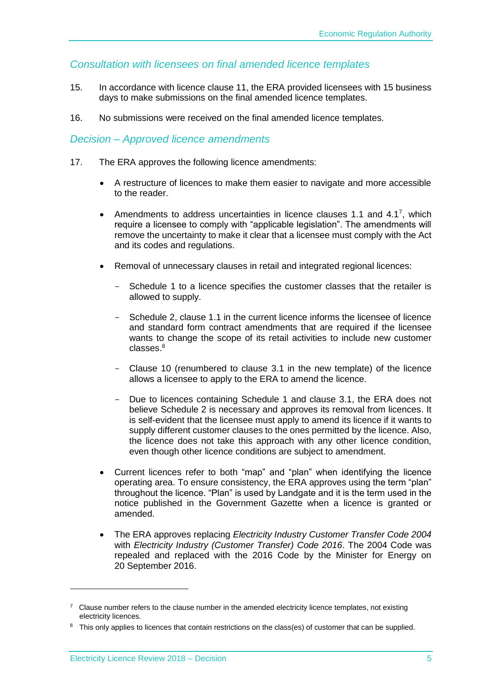#### *Consultation with licensees on final amended licence templates*

- 15. In accordance with licence clause 11, the ERA provided licensees with 15 business days to make submissions on the final amended licence templates.
- 16. No submissions were received on the final amended licence templates.

#### *Decision – Approved licence amendments*

- 17. The ERA approves the following licence amendments:
	- A restructure of licences to make them easier to navigate and more accessible to the reader.
	- Amendments to address uncertainties in licence clauses 1.1 and 4.17, which require a licensee to comply with "applicable legislation". The amendments will remove the uncertainty to make it clear that a licensee must comply with the Act and its codes and regulations.
	- Removal of unnecessary clauses in retail and integrated regional licences:
		- Schedule 1 to a licence specifies the customer classes that the retailer is allowed to supply.
		- Schedule 2, clause 1.1 in the current licence informs the licensee of licence and standard form contract amendments that are required if the licensee wants to change the scope of its retail activities to include new customer  $classes<sup>8</sup>$
		- Clause 10 (renumbered to clause 3.1 in the new template) of the licence allows a licensee to apply to the ERA to amend the licence.
		- Due to licences containing Schedule 1 and clause 3.1, the ERA does not believe Schedule 2 is necessary and approves its removal from licences. It is self-evident that the licensee must apply to amend its licence if it wants to supply different customer clauses to the ones permitted by the licence. Also, the licence does not take this approach with any other licence condition, even though other licence conditions are subject to amendment.
	- Current licences refer to both "map" and "plan" when identifying the licence operating area. To ensure consistency, the ERA approves using the term "plan" throughout the licence. "Plan" is used by Landgate and it is the term used in the notice published in the Government Gazette when a licence is granted or amended.
	- The ERA approves replacing *Electricity Industry Customer Transfer Code 2004* with *Electricity Industry (Customer Transfer) Code 2016*. The 2004 Code was repealed and replaced with the 2016 Code by the Minister for Energy on 20 September 2016.

-

 $7$  Clause number refers to the clause number in the amended electricity licence templates, not existing electricity licences.

<sup>&</sup>lt;sup>8</sup> This only applies to licences that contain restrictions on the class(es) of customer that can be supplied.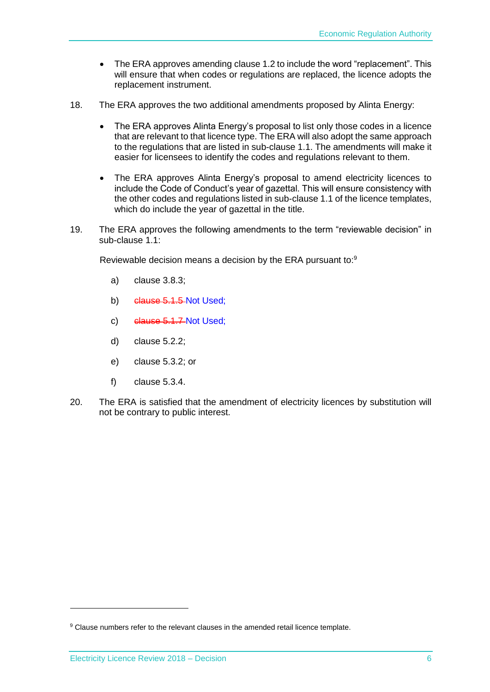- The ERA approves amending clause 1.2 to include the word "replacement". This will ensure that when codes or regulations are replaced, the licence adopts the replacement instrument.
- 18. The ERA approves the two additional amendments proposed by Alinta Energy:
	- The ERA approves Alinta Energy's proposal to list only those codes in a licence that are relevant to that licence type. The ERA will also adopt the same approach to the regulations that are listed in sub-clause 1.1. The amendments will make it easier for licensees to identify the codes and regulations relevant to them.
	- The ERA approves Alinta Energy's proposal to amend electricity licences to include the Code of Conduct's year of gazettal. This will ensure consistency with the other codes and regulations listed in sub-clause 1.1 of the licence templates, which do include the year of gazettal in the title.
- 19. The ERA approves the following amendments to the term "reviewable decision" in sub-clause 1.1:

Reviewable decision means a decision by the ERA pursuant to:<sup>9</sup>

- a) clause 3.8.3;
- b) clause 5.1.5 Not Used;
- c) clause 5.1.7 Not Used;
- d) clause 5.2.2;
- e) clause 5.3.2; or
- f) clause 5.3.4.
- 20. The ERA is satisfied that the amendment of electricity licences by substitution will not be contrary to public interest.

1

<sup>9</sup> Clause numbers refer to the relevant clauses in the amended retail licence template.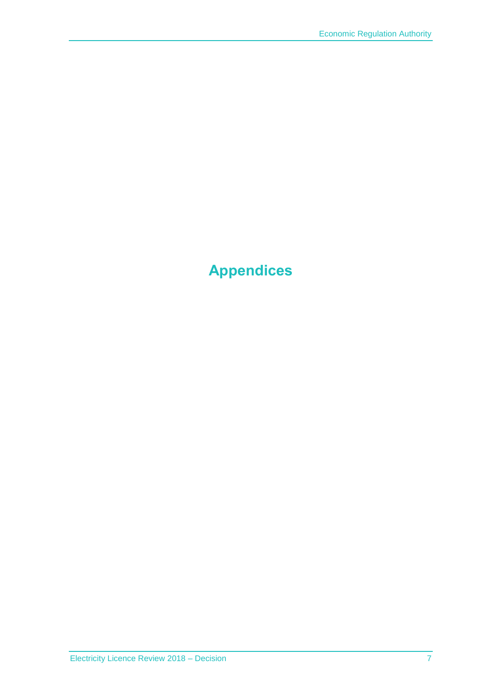# <span id="page-8-1"></span><span id="page-8-0"></span>**Appendices**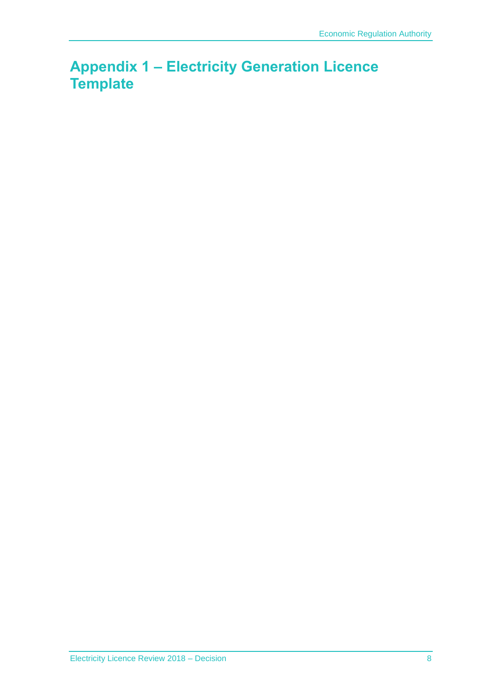### **Appendix 1 – Electricity Generation Licence Template**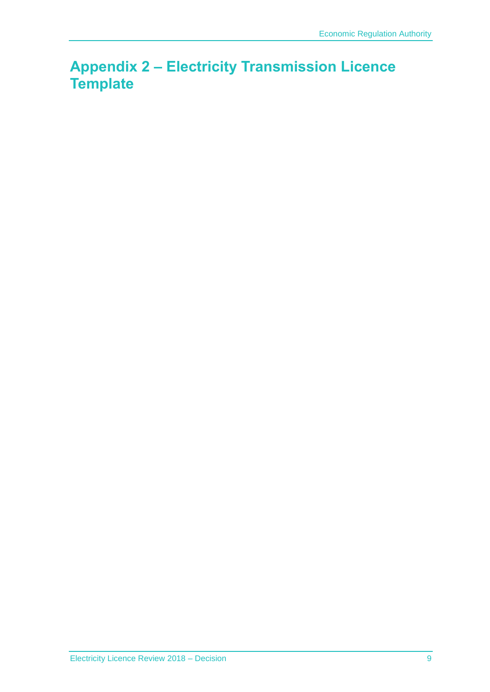### <span id="page-10-0"></span>**Appendix 2 – Electricity Transmission Licence Template**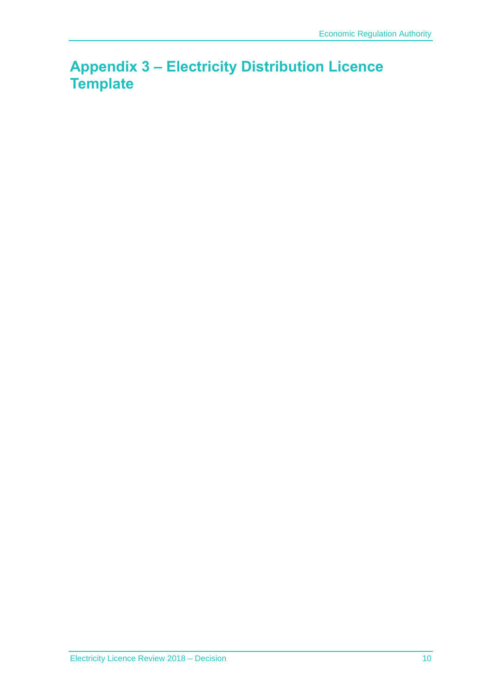### <span id="page-11-0"></span>**Appendix 3 – Electricity Distribution Licence Template**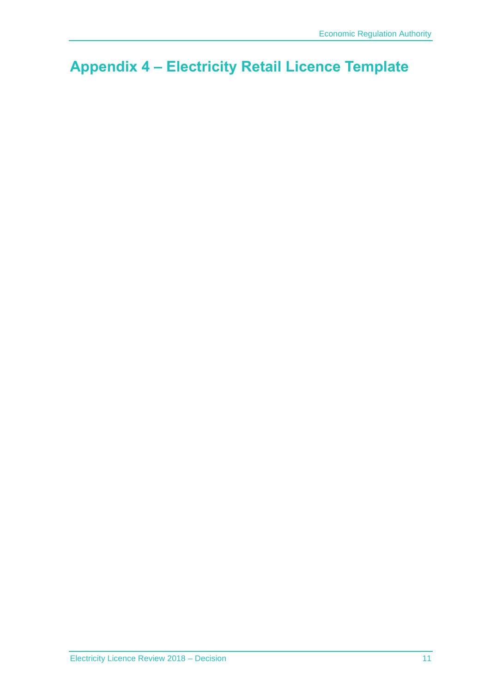## <span id="page-12-0"></span>**Appendix 4 – Electricity Retail Licence Template**